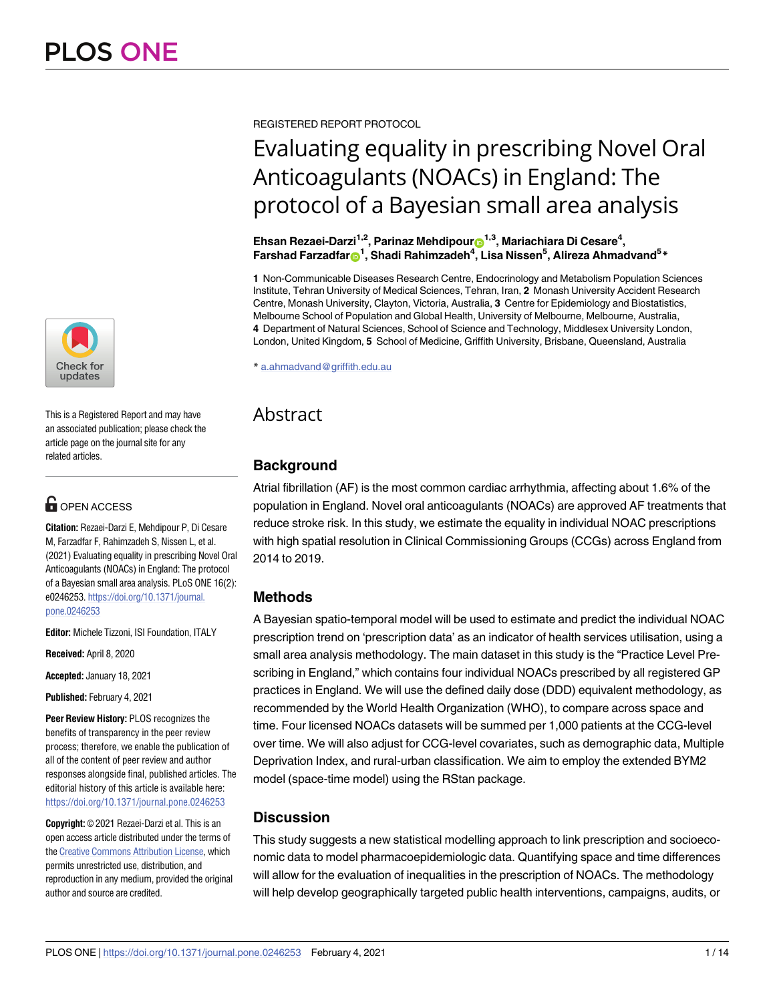

This is a Registered Report and may have an associated publication; please check the article page on the journal site for any related articles.

## **OPEN ACCESS**

**Citation:** Rezaei-Darzi E, Mehdipour P, Di Cesare M, Farzadfar F, Rahimzadeh S, Nissen L, et al. (2021) Evaluating equality in prescribing Novel Oral Anticoagulants (NOACs) in England: The protocol of a Bayesian small area analysis. PLoS ONE 16(2): e0246253. [https://doi.org/10.1371/journal.](https://doi.org/10.1371/journal.pone.0246253) [pone.0246253](https://doi.org/10.1371/journal.pone.0246253)

**Editor:** Michele Tizzoni, ISI Foundation, ITALY

**Received:** April 8, 2020

**Accepted:** January 18, 2021

**Published:** February 4, 2021

**Peer Review History:** PLOS recognizes the benefits of transparency in the peer review process; therefore, we enable the publication of all of the content of peer review and author responses alongside final, published articles. The editorial history of this article is available here: <https://doi.org/10.1371/journal.pone.0246253>

**Copyright:** © 2021 Rezaei-Darzi et al. This is an open access article distributed under the terms of the Creative [Commons](http://creativecommons.org/licenses/by/4.0/) Attribution License, which permits unrestricted use, distribution, and reproduction in any medium, provided the original author and source are credited.

REGISTERED REPORT PROTOCOL

# Evaluating equality in prescribing Novel Oral Anticoagulants (NOACs) in England: The protocol of a Bayesian small area analysis

 $\mathsf{E}$ hsan Rezaei-Darzi<sup>1,2</sup>, Parinaz Mehdipour $\mathsf{D}^{1,3}$ , Mariachiara Di Cesare<sup>4</sup>,  $\mathsf{Farshad}\ \mathsf{Farzadfar} \mathbf{\Theta}^\mathbf{1}$ , Shadi Rahimzadeh $^4$ , Lisa Nissen $^5$ , Alireza Ahmadvand $^5*$ 

**1** Non-Communicable Diseases Research Centre, Endocrinology and Metabolism Population Sciences Institute, Tehran University of Medical Sciences, Tehran, Iran, **2** Monash University Accident Research Centre, Monash University, Clayton, Victoria, Australia, **3** Centre for Epidemiology and Biostatistics, Melbourne School of Population and Global Health, University of Melbourne, Melbourne, Australia, **4** Department of Natural Sciences, School of Science and Technology, Middlesex University London, London, United Kingdom, **5** School of Medicine, Griffith University, Brisbane, Queensland, Australia

\* a.ahmadvand@griffith.edu.au

# Abstract

## **Background**

Atrial fibrillation (AF) is the most common cardiac arrhythmia, affecting about 1.6% of the population in England. Novel oral anticoagulants (NOACs) are approved AF treatments that reduce stroke risk. In this study, we estimate the equality in individual NOAC prescriptions with high spatial resolution in Clinical Commissioning Groups (CCGs) across England from 2014 to 2019.

## **Methods**

A Bayesian spatio-temporal model will be used to estimate and predict the individual NOAC prescription trend on 'prescription data' as an indicator of health services utilisation, using a small area analysis methodology. The main dataset in this study is the "Practice Level Prescribing in England," which contains four individual NOACs prescribed by all registered GP practices in England. We will use the defined daily dose (DDD) equivalent methodology, as recommended by the World Health Organization (WHO), to compare across space and time. Four licensed NOACs datasets will be summed per 1,000 patients at the CCG-level over time. We will also adjust for CCG-level covariates, such as demographic data, Multiple Deprivation Index, and rural-urban classification. We aim to employ the extended BYM2 model (space-time model) using the RStan package.

## **Discussion**

This study suggests a new statistical modelling approach to link prescription and socioeconomic data to model pharmacoepidemiologic data. Quantifying space and time differences will allow for the evaluation of inequalities in the prescription of NOACs. The methodology will help develop geographically targeted public health interventions, campaigns, audits, or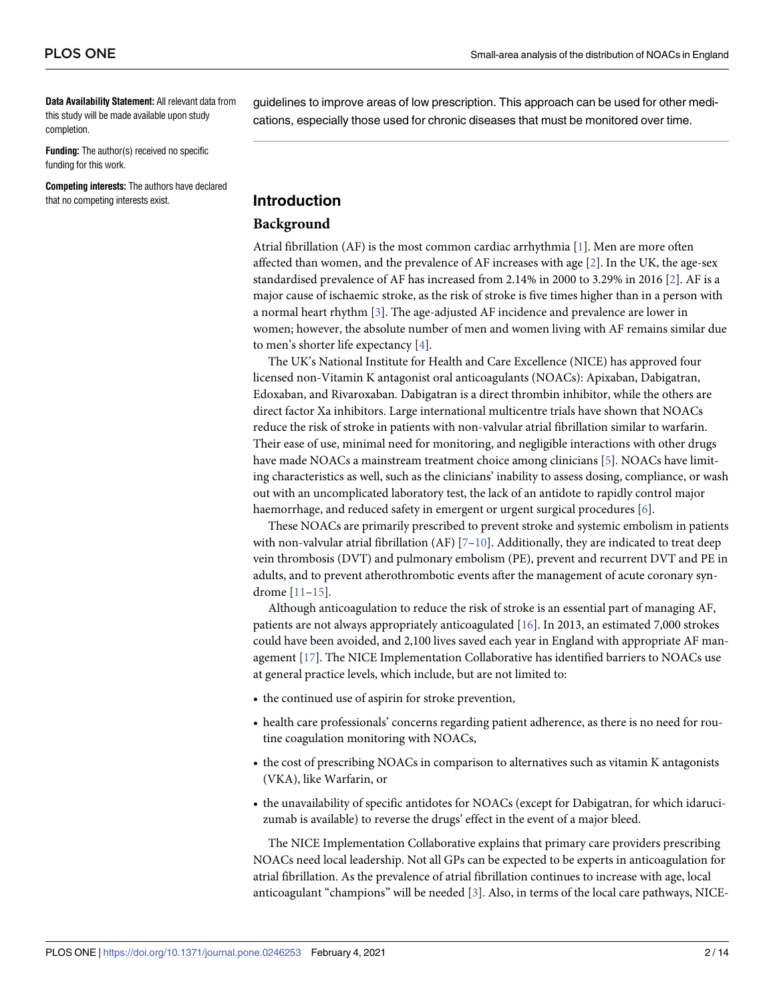<span id="page-1-0"></span>**Data Availability Statement:** All relevant data from this study will be made available upon study completion.

**Funding:** The author(s) received no specific funding for this work.

**Competing interests:** The authors have declared that no competing interests exist.

guidelines to improve areas of low prescription. This approach can be used for other medications, especially those used for chronic diseases that must be monitored over time.

### **Introduction**

#### **Background**

Atrial fibrillation (AF) is the most common cardiac arrhythmia [\[1](#page-11-0)]. Men are more often affected than women, and the prevalence of AF increases with age  $[2]$  $[2]$ . In the UK, the age-sex standardised prevalence of AF has increased from 2.14% in 2000 to 3.29% in 2016 [\[2\]](#page-11-0). AF is a major cause of ischaemic stroke, as the risk of stroke is five times higher than in a person with a normal heart rhythm [\[3](#page-11-0)]. The age-adjusted AF incidence and prevalence are lower in women; however, the absolute number of men and women living with AF remains similar due to men's shorter life expectancy [\[4\]](#page-11-0).

The UK's National Institute for Health and Care Excellence (NICE) has approved four licensed non-Vitamin K antagonist oral anticoagulants (NOACs): Apixaban, Dabigatran, Edoxaban, and Rivaroxaban. Dabigatran is a direct thrombin inhibitor, while the others are direct factor Xa inhibitors. Large international multicentre trials have shown that NOACs reduce the risk of stroke in patients with non-valvular atrial fibrillation similar to warfarin. Their ease of use, minimal need for monitoring, and negligible interactions with other drugs have made NOACs a mainstream treatment choice among clinicians [\[5\]](#page-11-0). NOACs have limiting characteristics as well, such as the clinicians' inability to assess dosing, compliance, or wash out with an uncomplicated laboratory test, the lack of an antidote to rapidly control major haemorrhage, and reduced safety in emergent or urgent surgical procedures [\[6\]](#page-11-0).

These NOACs are primarily prescribed to prevent stroke and systemic embolism in patients with non-valvular atrial fibrillation (AF)  $[7-10]$ . Additionally, they are indicated to treat deep vein thrombosis (DVT) and pulmonary embolism (PE), prevent and recurrent DVT and PE in adults, and to prevent atherothrombotic events after the management of acute coronary syndrome [\[11–15](#page-11-0)].

Although anticoagulation to reduce the risk of stroke is an essential part of managing AF, patients are not always appropriately anticoagulated [\[16\]](#page-11-0). In 2013, an estimated 7,000 strokes could have been avoided, and 2,100 lives saved each year in England with appropriate AF management [[17](#page-11-0)]. The NICE Implementation Collaborative has identified barriers to NOACs use at general practice levels, which include, but are not limited to:

- the continued use of aspirin for stroke prevention,
- health care professionals' concerns regarding patient adherence, as there is no need for routine coagulation monitoring with NOACs,
- the cost of prescribing NOACs in comparison to alternatives such as vitamin K antagonists (VKA), like Warfarin, or
- the unavailability of specific antidotes for NOACs (except for Dabigatran, for which idarucizumab is available) to reverse the drugs' effect in the event of a major bleed.

The NICE Implementation Collaborative explains that primary care providers prescribing NOACs need local leadership. Not all GPs can be expected to be experts in anticoagulation for atrial fibrillation. As the prevalence of atrial fibrillation continues to increase with age, local anticoagulant "champions" will be needed [\[3\]](#page-11-0). Also, in terms of the local care pathways, NICE-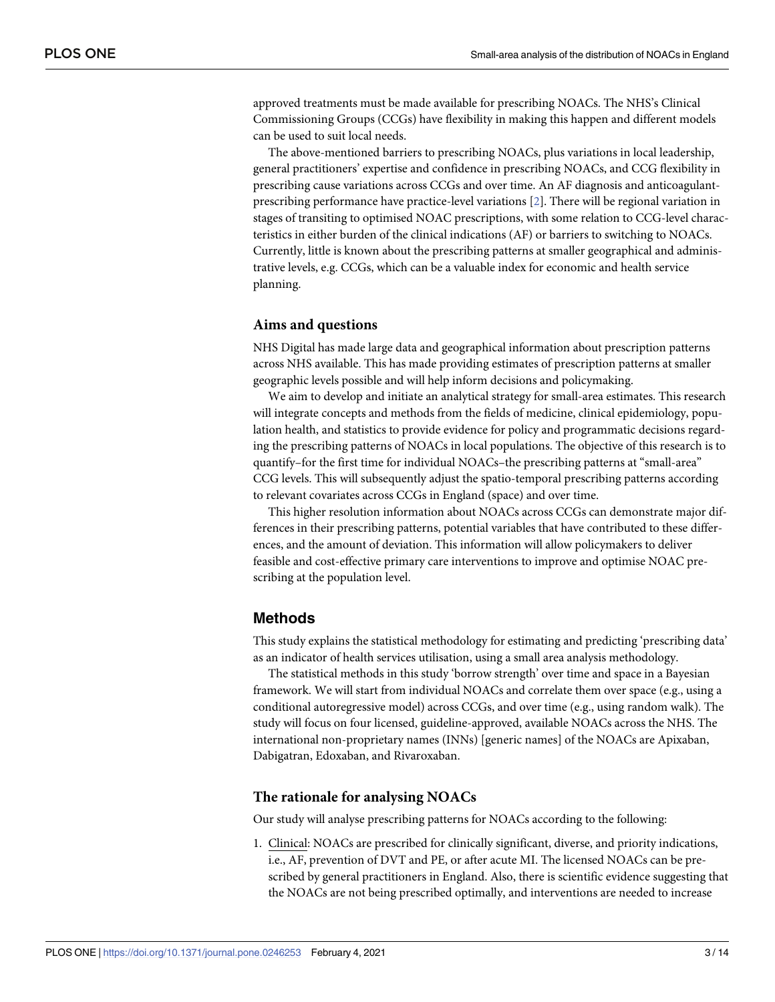approved treatments must be made available for prescribing NOACs. The NHS's Clinical Commissioning Groups (CCGs) have flexibility in making this happen and different models can be used to suit local needs.

The above-mentioned barriers to prescribing NOACs, plus variations in local leadership, general practitioners' expertise and confidence in prescribing NOACs, and CCG flexibility in prescribing cause variations across CCGs and over time. An AF diagnosis and anticoagulantprescribing performance have practice-level variations [[2\]](#page-11-0). There will be regional variation in stages of transiting to optimised NOAC prescriptions, with some relation to CCG-level characteristics in either burden of the clinical indications (AF) or barriers to switching to NOACs. Currently, little is known about the prescribing patterns at smaller geographical and administrative levels, e.g. CCGs, which can be a valuable index for economic and health service planning.

#### **Aims and questions**

NHS Digital has made large data and geographical information about prescription patterns across NHS available. This has made providing estimates of prescription patterns at smaller geographic levels possible and will help inform decisions and policymaking.

We aim to develop and initiate an analytical strategy for small-area estimates. This research will integrate concepts and methods from the fields of medicine, clinical epidemiology, population health, and statistics to provide evidence for policy and programmatic decisions regarding the prescribing patterns of NOACs in local populations. The objective of this research is to quantify–for the first time for individual NOACs–the prescribing patterns at "small-area" CCG levels. This will subsequently adjust the spatio-temporal prescribing patterns according to relevant covariates across CCGs in England (space) and over time.

This higher resolution information about NOACs across CCGs can demonstrate major differences in their prescribing patterns, potential variables that have contributed to these differences, and the amount of deviation. This information will allow policymakers to deliver feasible and cost-effective primary care interventions to improve and optimise NOAC prescribing at the population level.

#### **Methods**

This study explains the statistical methodology for estimating and predicting 'prescribing data' as an indicator of health services utilisation, using a small area analysis methodology.

The statistical methods in this study 'borrow strength' over time and space in a Bayesian framework. We will start from individual NOACs and correlate them over space (e.g., using a conditional autoregressive model) across CCGs, and over time (e.g., using random walk). The study will focus on four licensed, guideline-approved, available NOACs across the NHS. The international non-proprietary names (INNs) [generic names] of the NOACs are Apixaban, Dabigatran, Edoxaban, and Rivaroxaban.

#### **The rationale for analysing NOACs**

Our study will analyse prescribing patterns for NOACs according to the following:

1. Clinical: NOACs are prescribed for clinically significant, diverse, and priority indications, i.e., AF, prevention of DVT and PE, or after acute MI. The licensed NOACs can be prescribed by general practitioners in England. Also, there is scientific evidence suggesting that the NOACs are not being prescribed optimally, and interventions are needed to increase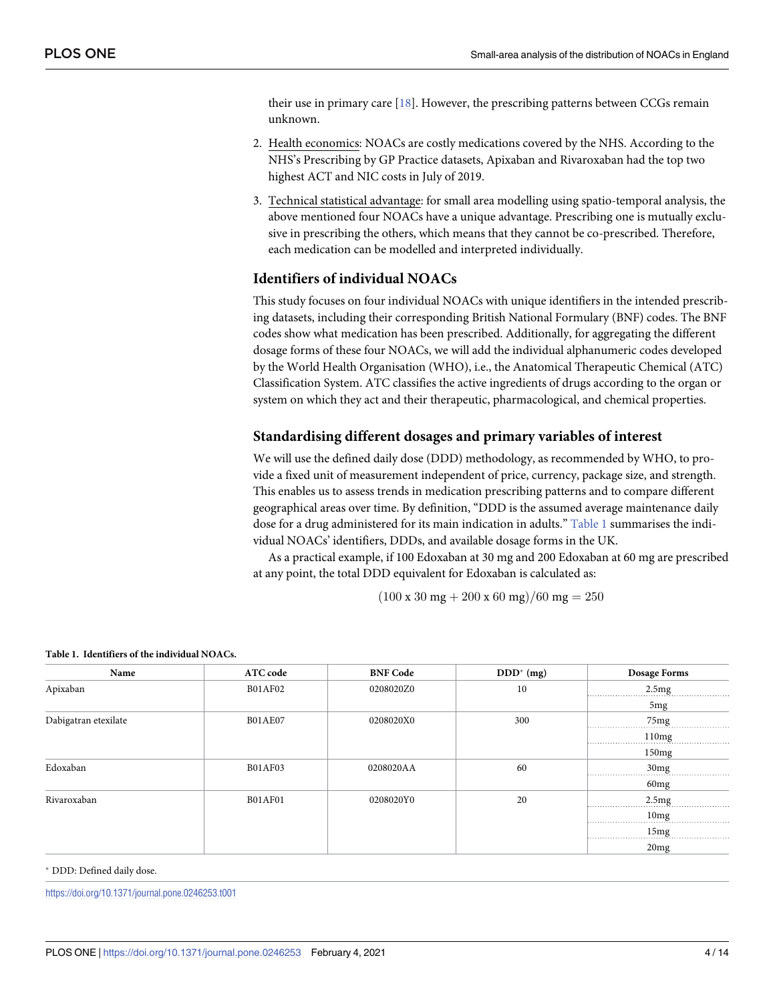<span id="page-3-0"></span>their use in primary care  $[18]$ . However, the prescribing patterns between CCGs remain unknown.

- 2. Health economics: NOACs are costly medications covered by the NHS. According to the NHS's Prescribing by GP Practice datasets, Apixaban and Rivaroxaban had the top two highest ACT and NIC costs in July of 2019.
- 3. Technical statistical advantage: for small area modelling using spatio-temporal analysis, the above mentioned four NOACs have a unique advantage. Prescribing one is mutually exclusive in prescribing the others, which means that they cannot be co-prescribed. Therefore, each medication can be modelled and interpreted individually.

#### **Identifiers of individual NOACs**

This study focuses on four individual NOACs with unique identifiers in the intended prescribing datasets, including their corresponding British National Formulary (BNF) codes. The BNF codes show what medication has been prescribed. Additionally, for aggregating the different dosage forms of these four NOACs, we will add the individual alphanumeric codes developed by the World Health Organisation (WHO), i.e., the Anatomical Therapeutic Chemical (ATC) Classification System. ATC classifies the active ingredients of drugs according to the organ or system on which they act and their therapeutic, pharmacological, and chemical properties.

#### **Standardising different dosages and primary variables of interest**

We will use the defined daily dose (DDD) methodology, as recommended by WHO, to provide a fixed unit of measurement independent of price, currency, package size, and strength. This enables us to assess trends in medication prescribing patterns and to compare different geographical areas over time. By definition, "DDD is the assumed average maintenance daily dose for a drug administered for its main indication in adults." Table 1 summarises the individual NOACs' identifiers, DDDs, and available dosage forms in the UK.

As a practical example, if 100 Edoxaban at 30 mg and 200 Edoxaban at 60 mg are prescribed at any point, the total DDD equivalent for Edoxaban is calculated as:

 $(100 \times 30 \text{ mg} + 200 \times 60 \text{ mg})/60 \text{ mg} = 250$ 

| Name                 | ATC code       | <b>BNF Code</b> | $DDD^* (mg)$ | <b>Dosage Forms</b> |
|----------------------|----------------|-----------------|--------------|---------------------|
| Apixaban             | <b>B01AF02</b> | 0208020Z0       | 10           | 2.5mg               |
|                      |                |                 |              | 5 <sub>mg</sub>     |
| Dabigatran etexilate | <b>B01AE07</b> | 0208020X0       | 300          | 75mg<br>.           |
|                      |                |                 |              | 110mg               |
|                      |                |                 |              | 150mg               |
| Edoxaban             | <b>B01AF03</b> | 0208020AA       | 60           | 30 <sub>mg</sub>    |
|                      |                |                 |              | 60mg                |
| Rivaroxaban          | <b>B01AF01</b> | 0208020Y0       | 20           | 2.5mg               |
|                      |                |                 |              | 10 <sub>mg</sub>    |
|                      |                |                 |              | 15mg                |
|                      |                |                 |              | 20mg                |

#### **Table 1. Identifiers of the individual NOACs.**

� DDD: Defined daily dose.

<https://doi.org/10.1371/journal.pone.0246253.t001>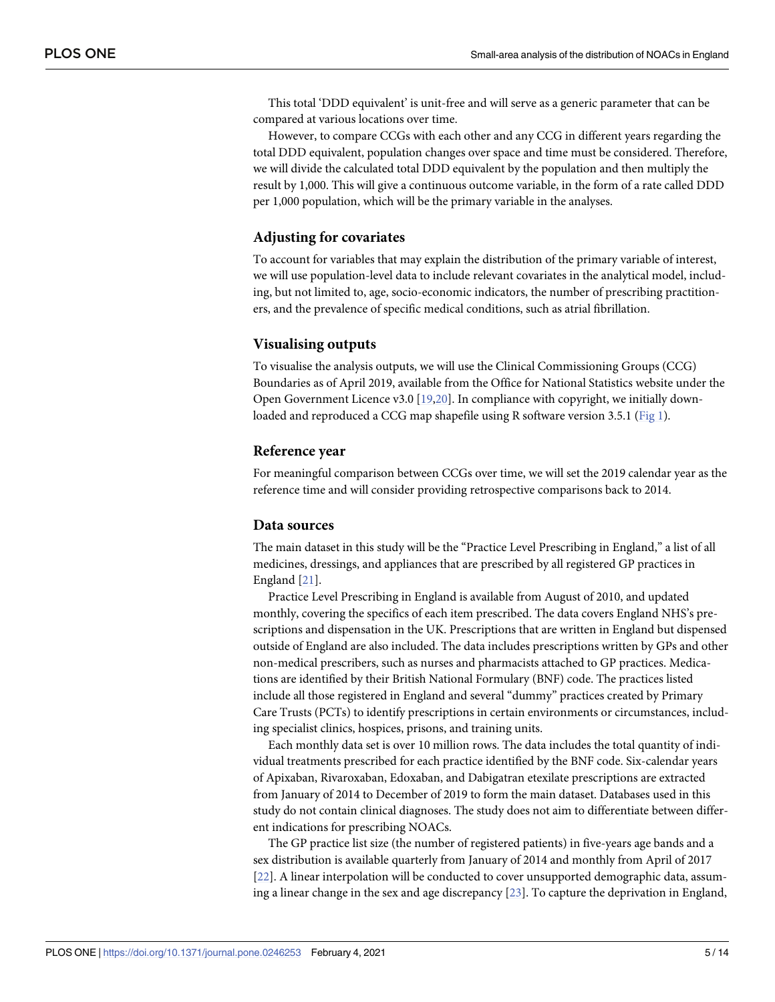<span id="page-4-0"></span>This total 'DDD equivalent' is unit-free and will serve as a generic parameter that can be compared at various locations over time.

However, to compare CCGs with each other and any CCG in different years regarding the total DDD equivalent, population changes over space and time must be considered. Therefore, we will divide the calculated total DDD equivalent by the population and then multiply the result by 1,000. This will give a continuous outcome variable, in the form of a rate called DDD per 1,000 population, which will be the primary variable in the analyses.

#### **Adjusting for covariates**

To account for variables that may explain the distribution of the primary variable of interest, we will use population-level data to include relevant covariates in the analytical model, including, but not limited to, age, socio-economic indicators, the number of prescribing practitioners, and the prevalence of specific medical conditions, such as atrial fibrillation.

#### **Visualising outputs**

To visualise the analysis outputs, we will use the Clinical Commissioning Groups (CCG) Boundaries as of April 2019, available from the Office for National Statistics website under the Open Government Licence v3.0 [\[19,20\]](#page-12-0). In compliance with copyright, we initially downloaded and reproduced a CCG map shapefile using R software version 3.5.1 ([Fig](#page-5-0) 1).

#### **Reference year**

For meaningful comparison between CCGs over time, we will set the 2019 calendar year as the reference time and will consider providing retrospective comparisons back to 2014.

#### **Data sources**

The main dataset in this study will be the "Practice Level Prescribing in England," a list of all medicines, dressings, and appliances that are prescribed by all registered GP practices in England [\[21](#page-12-0)].

Practice Level Prescribing in England is available from August of 2010, and updated monthly, covering the specifics of each item prescribed. The data covers England NHS's prescriptions and dispensation in the UK. Prescriptions that are written in England but dispensed outside of England are also included. The data includes prescriptions written by GPs and other non-medical prescribers, such as nurses and pharmacists attached to GP practices. Medications are identified by their British National Formulary (BNF) code. The practices listed include all those registered in England and several "dummy" practices created by Primary Care Trusts (PCTs) to identify prescriptions in certain environments or circumstances, including specialist clinics, hospices, prisons, and training units.

Each monthly data set is over 10 million rows. The data includes the total quantity of individual treatments prescribed for each practice identified by the BNF code. Six-calendar years of Apixaban, Rivaroxaban, Edoxaban, and Dabigatran etexilate prescriptions are extracted from January of 2014 to December of 2019 to form the main dataset. Databases used in this study do not contain clinical diagnoses. The study does not aim to differentiate between different indications for prescribing NOACs.

The GP practice list size (the number of registered patients) in five-years age bands and a sex distribution is available quarterly from January of 2014 and monthly from April of 2017 [\[22\]](#page-12-0). A linear interpolation will be conducted to cover unsupported demographic data, assuming a linear change in the sex and age discrepancy [[23](#page-12-0)]. To capture the deprivation in England,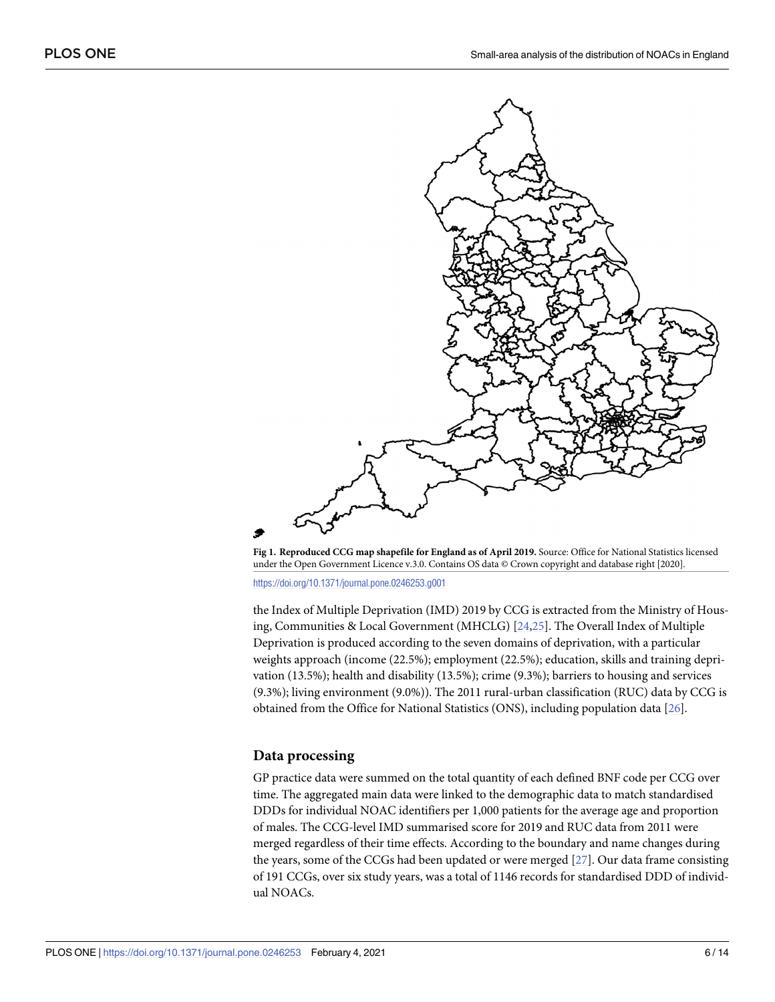<span id="page-5-0"></span>

**[Fig](#page-4-0) 1. Reproduced CCG map shapefile for England as of April 2019.** Source: Office for National Statistics licensed under the Open Government Licence v.3.0. Contains OS data © Crown copyright and database right [2020].

<https://doi.org/10.1371/journal.pone.0246253.g001>

the Index of Multiple Deprivation (IMD) 2019 by CCG is extracted from the Ministry of Housing, Communities & Local Government (MHCLG) [[24](#page-12-0),[25](#page-12-0)]. The Overall Index of Multiple Deprivation is produced according to the seven domains of deprivation, with a particular weights approach (income (22.5%); employment (22.5%); education, skills and training deprivation (13.5%); health and disability (13.5%); crime (9.3%); barriers to housing and services (9.3%); living environment (9.0%)). The 2011 rural-urban classification (RUC) data by CCG is obtained from the Office for National Statistics (ONS), including population data [\[26\]](#page-12-0).

#### **Data processing**

GP practice data were summed on the total quantity of each defined BNF code per CCG over time. The aggregated main data were linked to the demographic data to match standardised DDDs for individual NOAC identifiers per 1,000 patients for the average age and proportion of males. The CCG-level IMD summarised score for 2019 and RUC data from 2011 were merged regardless of their time effects. According to the boundary and name changes during the years, some of the CCGs had been updated or were merged [[27](#page-12-0)]. Our data frame consisting of 191 CCGs, over six study years, was a total of 1146 records for standardised DDD of individual NOACs.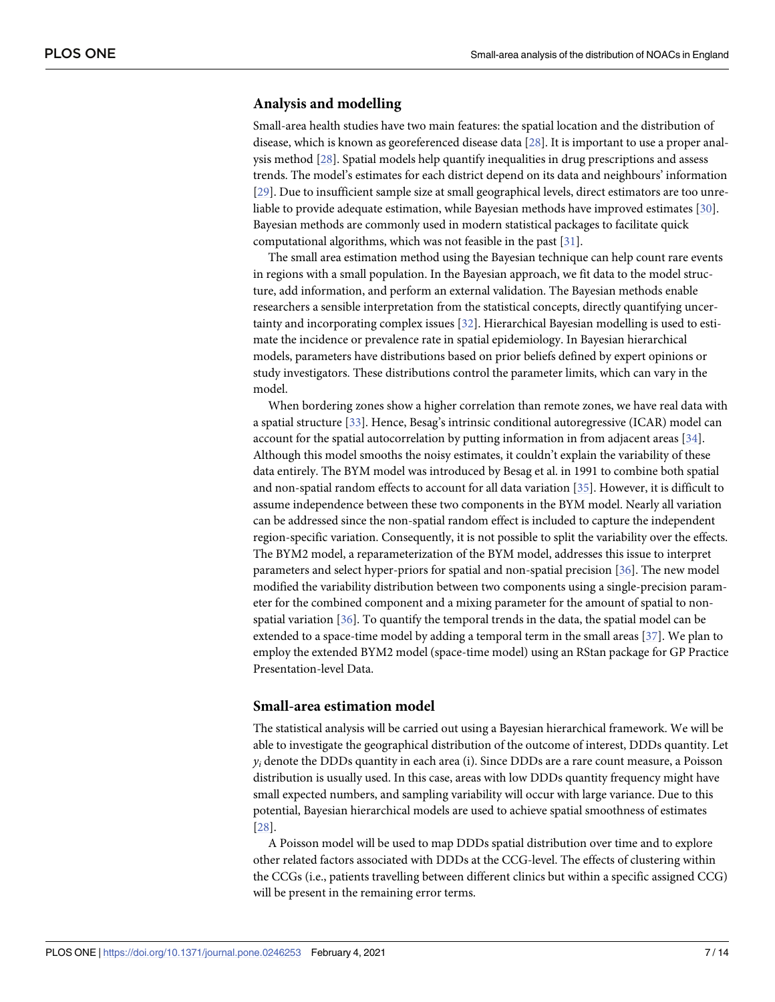#### <span id="page-6-0"></span>**Analysis and modelling**

Small-area health studies have two main features: the spatial location and the distribution of disease, which is known as georeferenced disease data [[28](#page-12-0)]. It is important to use a proper analysis method [\[28\]](#page-12-0). Spatial models help quantify inequalities in drug prescriptions and assess trends. The model's estimates for each district depend on its data and neighbours' information [\[29\]](#page-12-0). Due to insufficient sample size at small geographical levels, direct estimators are too unreliable to provide adequate estimation, while Bayesian methods have improved estimates [\[30\]](#page-12-0). Bayesian methods are commonly used in modern statistical packages to facilitate quick computational algorithms, which was not feasible in the past [[31](#page-12-0)].

The small area estimation method using the Bayesian technique can help count rare events in regions with a small population. In the Bayesian approach, we fit data to the model structure, add information, and perform an external validation. The Bayesian methods enable researchers a sensible interpretation from the statistical concepts, directly quantifying uncertainty and incorporating complex issues [[32](#page-12-0)]. Hierarchical Bayesian modelling is used to estimate the incidence or prevalence rate in spatial epidemiology. In Bayesian hierarchical models, parameters have distributions based on prior beliefs defined by expert opinions or study investigators. These distributions control the parameter limits, which can vary in the model.

When bordering zones show a higher correlation than remote zones, we have real data with a spatial structure [[33](#page-12-0)]. Hence, Besag's intrinsic conditional autoregressive (ICAR) model can account for the spatial autocorrelation by putting information in from adjacent areas [[34](#page-12-0)]. Although this model smooths the noisy estimates, it couldn't explain the variability of these data entirely. The BYM model was introduced by Besag et al. in 1991 to combine both spatial and non-spatial random effects to account for all data variation [\[35\]](#page-12-0). However, it is difficult to assume independence between these two components in the BYM model. Nearly all variation can be addressed since the non-spatial random effect is included to capture the independent region-specific variation. Consequently, it is not possible to split the variability over the effects. The BYM2 model, a reparameterization of the BYM model, addresses this issue to interpret parameters and select hyper-priors for spatial and non-spatial precision [\[36\]](#page-12-0). The new model modified the variability distribution between two components using a single-precision parameter for the combined component and a mixing parameter for the amount of spatial to nonspatial variation  $[36]$ . To quantify the temporal trends in the data, the spatial model can be extended to a space-time model by adding a temporal term in the small areas [\[37\]](#page-12-0). We plan to employ the extended BYM2 model (space-time model) using an RStan package for GP Practice Presentation-level Data.

#### **Small-area estimation model**

The statistical analysis will be carried out using a Bayesian hierarchical framework. We will be able to investigate the geographical distribution of the outcome of interest, DDDs quantity. Let  $y_i$  denote the DDDs quantity in each area (i). Since DDDs are a rare count measure, a Poisson distribution is usually used. In this case, areas with low DDDs quantity frequency might have small expected numbers, and sampling variability will occur with large variance. Due to this potential, Bayesian hierarchical models are used to achieve spatial smoothness of estimates [\[28\]](#page-12-0).

A Poisson model will be used to map DDDs spatial distribution over time and to explore other related factors associated with DDDs at the CCG-level. The effects of clustering within the CCGs (i.e., patients travelling between different clinics but within a specific assigned CCG) will be present in the remaining error terms.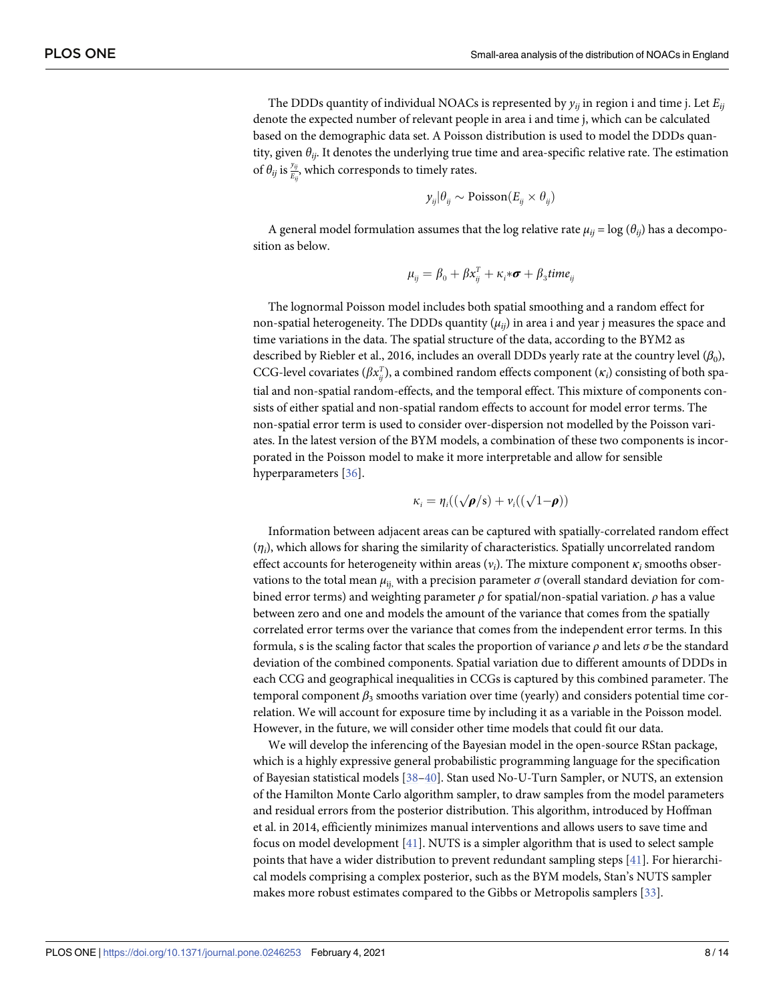<span id="page-7-0"></span>The DDDs quantity of individual NOACs is represented by  $y_{ii}$  in region i and time j. Let  $E_{ii}$ denote the expected number of relevant people in area i and time j, which can be calculated based on the demographic data set. A Poisson distribution is used to model the DDDs quantity, given *θij*. It denotes the underlying true time and area-specific relative rate. The estimation of  $\theta_{ij}$  is  $\frac{y_{ij}}{E_{ij}}$ , which corresponds to timely rates.

$$
y_{ij}|\theta_{ij} \sim \text{Poisson}(E_{ij} \times \theta_{ij})
$$

A general model formulation assumes that the log relative rate  $\mu_{ii} = \log (\theta_{ii})$  has a decomposition as below.

$$
\mu_{ij} = \beta_0 + \beta x_{ij}^T + \kappa_i * \boldsymbol{\sigma} + \beta_3 \text{time}_{ij}
$$

The lognormal Poisson model includes both spatial smoothing and a random effect for non-spatial heterogeneity. The DDDs quantity  $(\mu_{ii})$  in area i and year j measures the space and time variations in the data. The spatial structure of the data, according to the BYM2 as described by Riebler et al., 2016, includes an overall DDDs yearly rate at the country level (*β*0), CCG-level covariates ( $\beta x_{ij}^T$ ), a combined random effects component ( $\kappa_i$ ) consisting of both spatial and non-spatial random-effects, and the temporal effect. This mixture of components consists of either spatial and non-spatial random effects to account for model error terms. The non-spatial error term is used to consider over-dispersion not modelled by the Poisson variates. In the latest version of the BYM models, a combination of these two components is incorporated in the Poisson model to make it more interpretable and allow for sensible hyperparameters [\[36\]](#page-12-0).

$$
\kappa_i = \eta_i((\sqrt{\rho/s}) + \nu_i((\sqrt{1-\rho}))
$$

Information between adjacent areas can be captured with spatially-correlated random effect (*ηi*), which allows for sharing the similarity of characteristics. Spatially uncorrelated random effect accounts for heterogeneity within areas (*νi*). The mixture component *κ<sup>i</sup>* smooths observations to the total mean  $\mu_{\rm ii}$ , with a precision parameter  $\sigma$  (overall standard deviation for combined error terms) and weighting parameter *ρ* for spatial/non-spatial variation. *ρ* has a value between zero and one and models the amount of the variance that comes from the spatially correlated error terms over the variance that comes from the independent error terms. In this formula, s is the scaling factor that scales the proportion of variance  $\rho$  and lets  $\sigma$  be the standard deviation of the combined components. Spatial variation due to different amounts of DDDs in each CCG and geographical inequalities in CCGs is captured by this combined parameter. The temporal component  $β_3$  smooths variation over time (yearly) and considers potential time correlation. We will account for exposure time by including it as a variable in the Poisson model. However, in the future, we will consider other time models that could fit our data.

We will develop the inferencing of the Bayesian model in the open-source RStan package, which is a highly expressive general probabilistic programming language for the specification of Bayesian statistical models [[38](#page-12-0)–[40](#page-12-0)]. Stan used No-U-Turn Sampler, or NUTS, an extension of the Hamilton Monte Carlo algorithm sampler, to draw samples from the model parameters and residual errors from the posterior distribution. This algorithm, introduced by Hoffman et al. in 2014, efficiently minimizes manual interventions and allows users to save time and focus on model development [\[41](#page-12-0)]. NUTS is a simpler algorithm that is used to select sample points that have a wider distribution to prevent redundant sampling steps [[41](#page-12-0)]. For hierarchical models comprising a complex posterior, such as the BYM models, Stan's NUTS sampler makes more robust estimates compared to the Gibbs or Metropolis samplers [\[33\]](#page-12-0).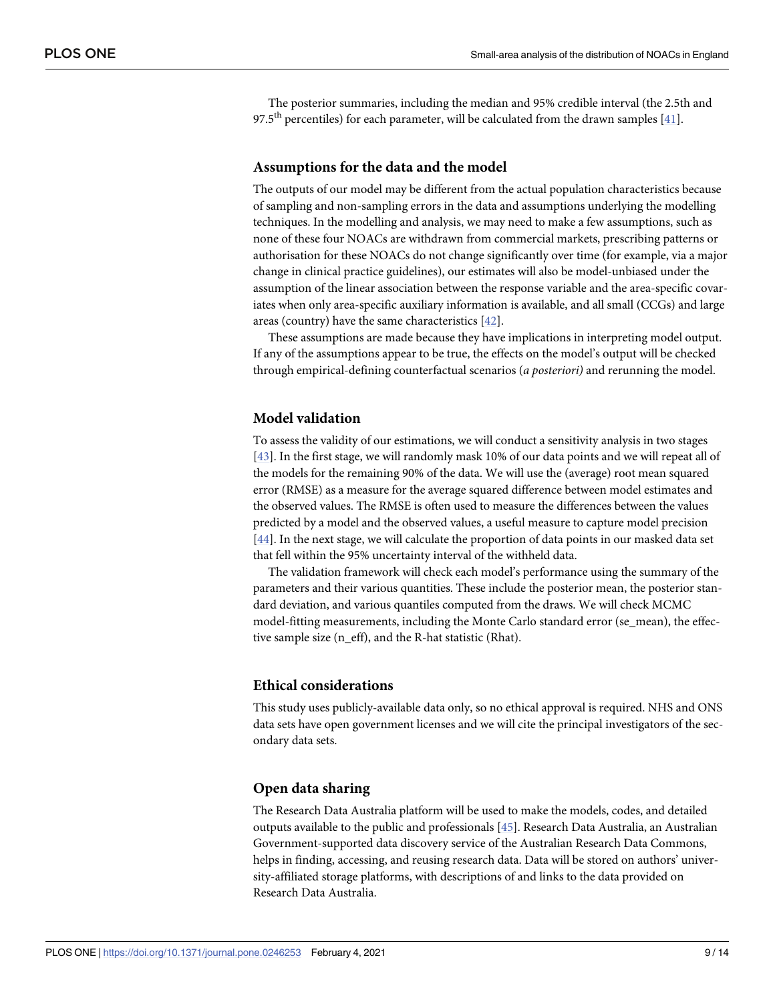<span id="page-8-0"></span>The posterior summaries, including the median and 95% credible interval (the 2.5th and 97.5<sup>th</sup> percentiles) for each parameter, will be calculated from the drawn samples [\[41\]](#page-12-0).

#### **Assumptions for the data and the model**

The outputs of our model may be different from the actual population characteristics because of sampling and non-sampling errors in the data and assumptions underlying the modelling techniques. In the modelling and analysis, we may need to make a few assumptions, such as none of these four NOACs are withdrawn from commercial markets, prescribing patterns or authorisation for these NOACs do not change significantly over time (for example, via a major change in clinical practice guidelines), our estimates will also be model-unbiased under the assumption of the linear association between the response variable and the area-specific covariates when only area-specific auxiliary information is available, and all small (CCGs) and large areas (country) have the same characteristics [\[42\]](#page-12-0).

These assumptions are made because they have implications in interpreting model output. If any of the assumptions appear to be true, the effects on the model's output will be checked through empirical-defining counterfactual scenarios (*a posteriori)* and rerunning the model.

#### **Model validation**

To assess the validity of our estimations, we will conduct a sensitivity analysis in two stages [\[43\]](#page-12-0). In the first stage, we will randomly mask 10% of our data points and we will repeat all of the models for the remaining 90% of the data. We will use the (average) root mean squared error (RMSE) as a measure for the average squared difference between model estimates and the observed values. The RMSE is often used to measure the differences between the values predicted by a model and the observed values, a useful measure to capture model precision [\[44\]](#page-13-0). In the next stage, we will calculate the proportion of data points in our masked data set that fell within the 95% uncertainty interval of the withheld data.

The validation framework will check each model's performance using the summary of the parameters and their various quantities. These include the posterior mean, the posterior standard deviation, and various quantiles computed from the draws. We will check MCMC model-fitting measurements, including the Monte Carlo standard error (se\_mean), the effective sample size (n\_eff), and the R-hat statistic (Rhat).

#### **Ethical considerations**

This study uses publicly-available data only, so no ethical approval is required. NHS and ONS data sets have open government licenses and we will cite the principal investigators of the secondary data sets.

#### **Open data sharing**

The Research Data Australia platform will be used to make the models, codes, and detailed outputs available to the public and professionals [\[45\]](#page-13-0). Research Data Australia, an Australian Government-supported data discovery service of the Australian Research Data Commons, helps in finding, accessing, and reusing research data. Data will be stored on authors' university-affiliated storage platforms, with descriptions of and links to the data provided on Research Data Australia.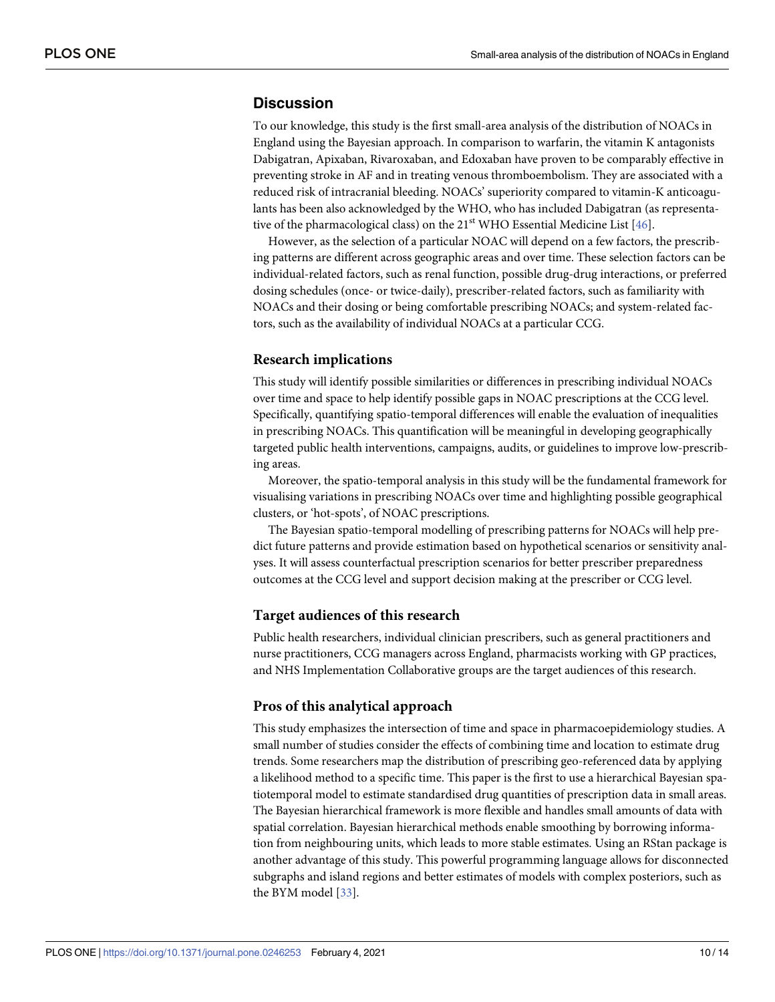## <span id="page-9-0"></span>**Discussion**

To our knowledge, this study is the first small-area analysis of the distribution of NOACs in England using the Bayesian approach. In comparison to warfarin, the vitamin K antagonists Dabigatran, Apixaban, Rivaroxaban, and Edoxaban have proven to be comparably effective in preventing stroke in AF and in treating venous thromboembolism. They are associated with a reduced risk of intracranial bleeding. NOACs' superiority compared to vitamin-K anticoagulants has been also acknowledged by the WHO, who has included Dabigatran (as representative of the pharmacological class) on the  $21<sup>st</sup>$  WHO Essential Medicine List [\[46\]](#page-13-0).

However, as the selection of a particular NOAC will depend on a few factors, the prescribing patterns are different across geographic areas and over time. These selection factors can be individual-related factors, such as renal function, possible drug-drug interactions, or preferred dosing schedules (once- or twice-daily), prescriber-related factors, such as familiarity with NOACs and their dosing or being comfortable prescribing NOACs; and system-related factors, such as the availability of individual NOACs at a particular CCG.

#### **Research implications**

This study will identify possible similarities or differences in prescribing individual NOACs over time and space to help identify possible gaps in NOAC prescriptions at the CCG level. Specifically, quantifying spatio-temporal differences will enable the evaluation of inequalities in prescribing NOACs. This quantification will be meaningful in developing geographically targeted public health interventions, campaigns, audits, or guidelines to improve low-prescribing areas.

Moreover, the spatio-temporal analysis in this study will be the fundamental framework for visualising variations in prescribing NOACs over time and highlighting possible geographical clusters, or 'hot-spots', of NOAC prescriptions.

The Bayesian spatio-temporal modelling of prescribing patterns for NOACs will help predict future patterns and provide estimation based on hypothetical scenarios or sensitivity analyses. It will assess counterfactual prescription scenarios for better prescriber preparedness outcomes at the CCG level and support decision making at the prescriber or CCG level.

#### **Target audiences of this research**

Public health researchers, individual clinician prescribers, such as general practitioners and nurse practitioners, CCG managers across England, pharmacists working with GP practices, and NHS Implementation Collaborative groups are the target audiences of this research.

#### **Pros of this analytical approach**

This study emphasizes the intersection of time and space in pharmacoepidemiology studies. A small number of studies consider the effects of combining time and location to estimate drug trends. Some researchers map the distribution of prescribing geo-referenced data by applying a likelihood method to a specific time. This paper is the first to use a hierarchical Bayesian spatiotemporal model to estimate standardised drug quantities of prescription data in small areas. The Bayesian hierarchical framework is more flexible and handles small amounts of data with spatial correlation. Bayesian hierarchical methods enable smoothing by borrowing information from neighbouring units, which leads to more stable estimates. Using an RStan package is another advantage of this study. This powerful programming language allows for disconnected subgraphs and island regions and better estimates of models with complex posteriors, such as the BYM model [[33](#page-12-0)].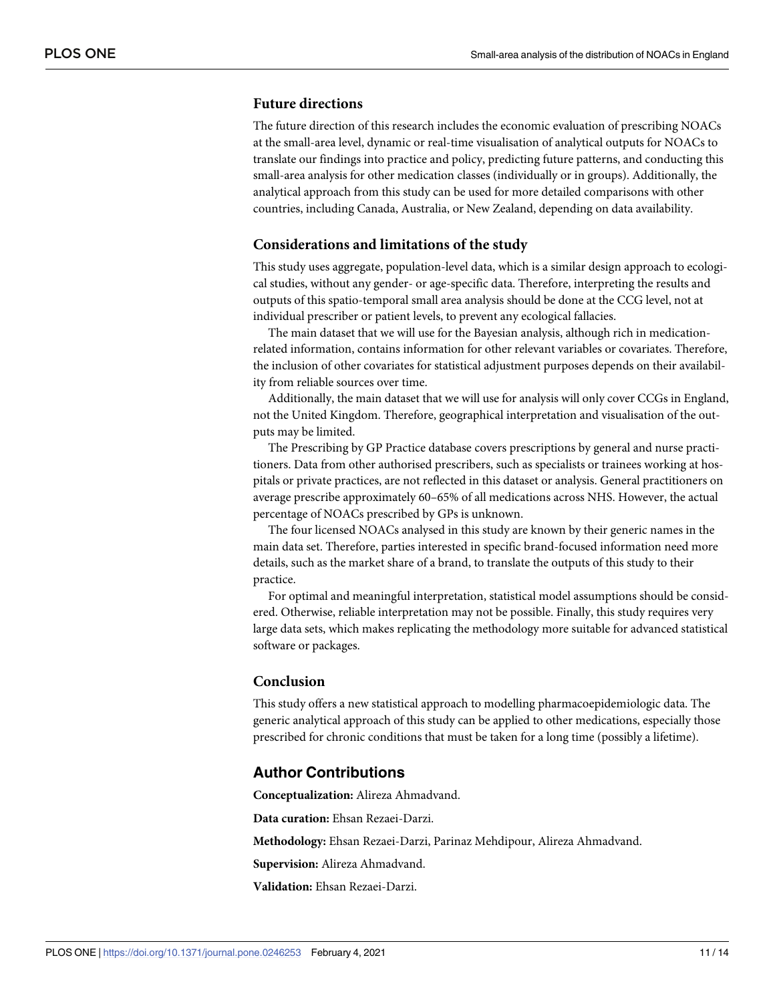#### **Future directions**

The future direction of this research includes the economic evaluation of prescribing NOACs at the small-area level, dynamic or real-time visualisation of analytical outputs for NOACs to translate our findings into practice and policy, predicting future patterns, and conducting this small-area analysis for other medication classes (individually or in groups). Additionally, the analytical approach from this study can be used for more detailed comparisons with other countries, including Canada, Australia, or New Zealand, depending on data availability.

#### **Considerations and limitations of the study**

This study uses aggregate, population-level data, which is a similar design approach to ecological studies, without any gender- or age-specific data. Therefore, interpreting the results and outputs of this spatio-temporal small area analysis should be done at the CCG level, not at individual prescriber or patient levels, to prevent any ecological fallacies.

The main dataset that we will use for the Bayesian analysis, although rich in medicationrelated information, contains information for other relevant variables or covariates. Therefore, the inclusion of other covariates for statistical adjustment purposes depends on their availability from reliable sources over time.

Additionally, the main dataset that we will use for analysis will only cover CCGs in England, not the United Kingdom. Therefore, geographical interpretation and visualisation of the outputs may be limited.

The Prescribing by GP Practice database covers prescriptions by general and nurse practitioners. Data from other authorised prescribers, such as specialists or trainees working at hospitals or private practices, are not reflected in this dataset or analysis. General practitioners on average prescribe approximately 60–65% of all medications across NHS. However, the actual percentage of NOACs prescribed by GPs is unknown.

The four licensed NOACs analysed in this study are known by their generic names in the main data set. Therefore, parties interested in specific brand-focused information need more details, such as the market share of a brand, to translate the outputs of this study to their practice.

For optimal and meaningful interpretation, statistical model assumptions should be considered. Otherwise, reliable interpretation may not be possible. Finally, this study requires very large data sets, which makes replicating the methodology more suitable for advanced statistical software or packages.

#### **Conclusion**

This study offers a new statistical approach to modelling pharmacoepidemiologic data. The generic analytical approach of this study can be applied to other medications, especially those prescribed for chronic conditions that must be taken for a long time (possibly a lifetime).

#### **Author Contributions**

**Conceptualization:** Alireza Ahmadvand.

**Data curation:** Ehsan Rezaei-Darzi.

**Methodology:** Ehsan Rezaei-Darzi, Parinaz Mehdipour, Alireza Ahmadvand.

**Supervision:** Alireza Ahmadvand.

**Validation:** Ehsan Rezaei-Darzi.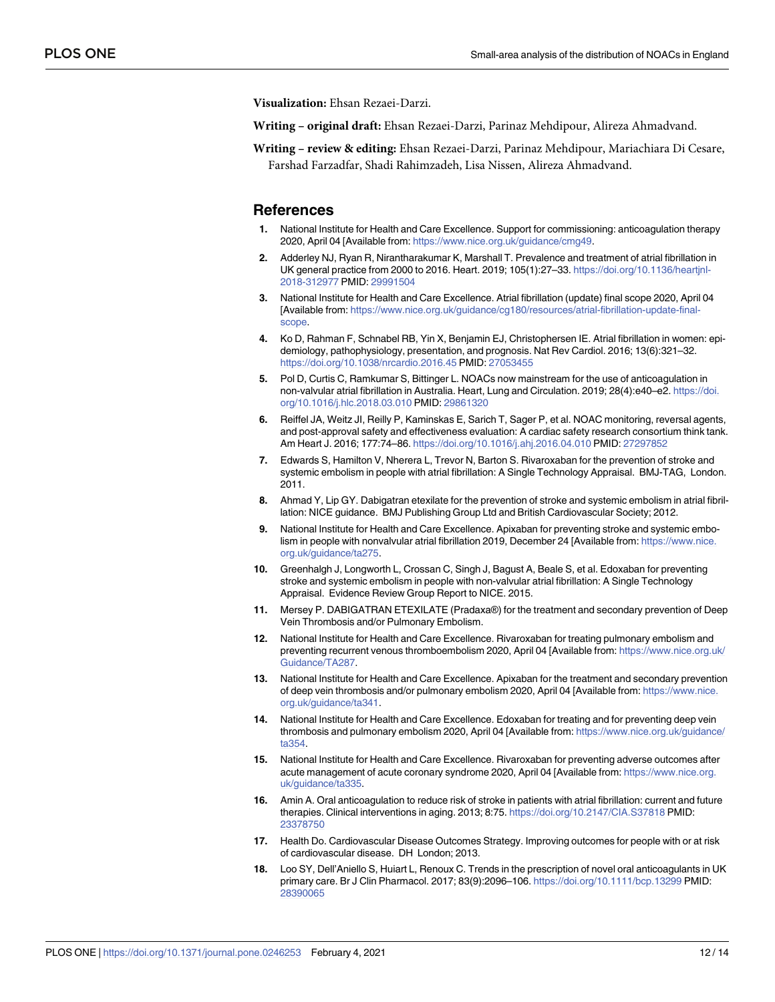<span id="page-11-0"></span>**Visualization:** Ehsan Rezaei-Darzi.

**Writing – original draft:** Ehsan Rezaei-Darzi, Parinaz Mehdipour, Alireza Ahmadvand.

**Writing – review & editing:** Ehsan Rezaei-Darzi, Parinaz Mehdipour, Mariachiara Di Cesare, Farshad Farzadfar, Shadi Rahimzadeh, Lisa Nissen, Alireza Ahmadvand.

#### **References**

- **[1](#page-1-0).** National Institute for Health and Care Excellence. Support for commissioning: anticoagulation therapy 2020, April 04 [Available from: [https://www.nice.org.uk/guidance/cmg49.](https://www.nice.org.uk/guidance/cmg49)
- **[2](#page-1-0).** Adderley NJ, Ryan R, Nirantharakumar K, Marshall T. Prevalence and treatment of atrial fibrillation in UK general practice from 2000 to 2016. Heart. 2019; 105(1):27–33. [https://doi.org/10.1136/heartjnl-](https://doi.org/10.1136/heartjnl-2018-312977)[2018-312977](https://doi.org/10.1136/heartjnl-2018-312977) PMID: [29991504](http://www.ncbi.nlm.nih.gov/pubmed/29991504)
- **[3](#page-1-0).** National Institute for Health and Care Excellence. Atrial fibrillation (update) final scope 2020, April 04 [Available from: [https://www.nice.org.uk/guidance/cg180/resources/atrial-fibrillation-update-final](https://www.nice.org.uk/guidance/cg180/resources/atrial-fibrillation-update-final-scope)[scope](https://www.nice.org.uk/guidance/cg180/resources/atrial-fibrillation-update-final-scope).
- **[4](#page-1-0).** Ko D, Rahman F, Schnabel RB, Yin X, Benjamin EJ, Christophersen IE. Atrial fibrillation in women: epidemiology, pathophysiology, presentation, and prognosis. Nat Rev Cardiol. 2016; 13(6):321–32. <https://doi.org/10.1038/nrcardio.2016.45> PMID: [27053455](http://www.ncbi.nlm.nih.gov/pubmed/27053455)
- **[5](#page-1-0).** Pol D, Curtis C, Ramkumar S, Bittinger L. NOACs now mainstream for the use of anticoagulation in non-valvular atrial fibrillation in Australia. Heart, Lung and Circulation. 2019; 28(4):e40–e2. [https://doi.](https://doi.org/10.1016/j.hlc.2018.03.010) [org/10.1016/j.hlc.2018.03.010](https://doi.org/10.1016/j.hlc.2018.03.010) PMID: [29861320](http://www.ncbi.nlm.nih.gov/pubmed/29861320)
- **[6](#page-1-0).** Reiffel JA, Weitz JI, Reilly P, Kaminskas E, Sarich T, Sager P, et al. NOAC monitoring, reversal agents, and post-approval safety and effectiveness evaluation: A cardiac safety research consortium think tank. Am Heart J. 2016; 177:74–86. <https://doi.org/10.1016/j.ahj.2016.04.010> PMID: [27297852](http://www.ncbi.nlm.nih.gov/pubmed/27297852)
- **[7](#page-1-0).** Edwards S, Hamilton V, Nherera L, Trevor N, Barton S. Rivaroxaban for the prevention of stroke and systemic embolism in people with atrial fibrillation: A Single Technology Appraisal. BMJ-TAG, London. 2011.
- **8.** Ahmad Y, Lip GY. Dabigatran etexilate for the prevention of stroke and systemic embolism in atrial fibrillation: NICE guidance. BMJ Publishing Group Ltd and British Cardiovascular Society; 2012.
- **9.** National Institute for Health and Care Excellence. Apixaban for preventing stroke and systemic embolism in people with nonvalvular atrial fibrillation 2019, December 24 [Available from: [https://www.nice.](https://www.nice.org.uk/guidance/ta275) [org.uk/guidance/ta275](https://www.nice.org.uk/guidance/ta275).
- **[10](#page-1-0).** Greenhalgh J, Longworth L, Crossan C, Singh J, Bagust A, Beale S, et al. Edoxaban for preventing stroke and systemic embolism in people with non-valvular atrial fibrillation: A Single Technology Appraisal. Evidence Review Group Report to NICE. 2015.
- **[11](#page-1-0).** Mersey P. DABIGATRAN ETEXILATE (Pradaxa®) for the treatment and secondary prevention of Deep Vein Thrombosis and/or Pulmonary Embolism.
- **12.** National Institute for Health and Care Excellence. Rivaroxaban for treating pulmonary embolism and preventing recurrent venous thromboembolism 2020, April 04 [Available from: [https://www.nice.org.uk/](https://www.nice.org.uk/Guidance/TA287) [Guidance/TA287.](https://www.nice.org.uk/Guidance/TA287)
- **13.** National Institute for Health and Care Excellence. Apixaban for the treatment and secondary prevention of deep vein thrombosis and/or pulmonary embolism 2020, April 04 [Available from: [https://www.nice.](https://www.nice.org.uk/guidance/ta341) [org.uk/guidance/ta341](https://www.nice.org.uk/guidance/ta341).
- **14.** National Institute for Health and Care Excellence. Edoxaban for treating and for preventing deep vein thrombosis and pulmonary embolism 2020, April 04 [Available from: [https://www.nice.org.uk/guidance/](https://www.nice.org.uk/guidance/ta354) [ta354](https://www.nice.org.uk/guidance/ta354).
- **[15](#page-1-0).** National Institute for Health and Care Excellence. Rivaroxaban for preventing adverse outcomes after acute management of acute coronary syndrome 2020, April 04 [Available from: [https://www.nice.org.](https://www.nice.org.uk/guidance/ta335) [uk/guidance/ta335.](https://www.nice.org.uk/guidance/ta335)
- **[16](#page-1-0).** Amin A. Oral anticoagulation to reduce risk of stroke in patients with atrial fibrillation: current and future therapies. Clinical interventions in aging. 2013; 8:75. <https://doi.org/10.2147/CIA.S37818> PMID: [23378750](http://www.ncbi.nlm.nih.gov/pubmed/23378750)
- **[17](#page-1-0).** Health Do. Cardiovascular Disease Outcomes Strategy. Improving outcomes for people with or at risk of cardiovascular disease. DH London; 2013.
- **[18](#page-3-0).** Loo SY, Dell'Aniello S, Huiart L, Renoux C. Trends in the prescription of novel oral anticoagulants in UK primary care. Br J Clin Pharmacol. 2017; 83(9):2096–106. <https://doi.org/10.1111/bcp.13299> PMID: [28390065](http://www.ncbi.nlm.nih.gov/pubmed/28390065)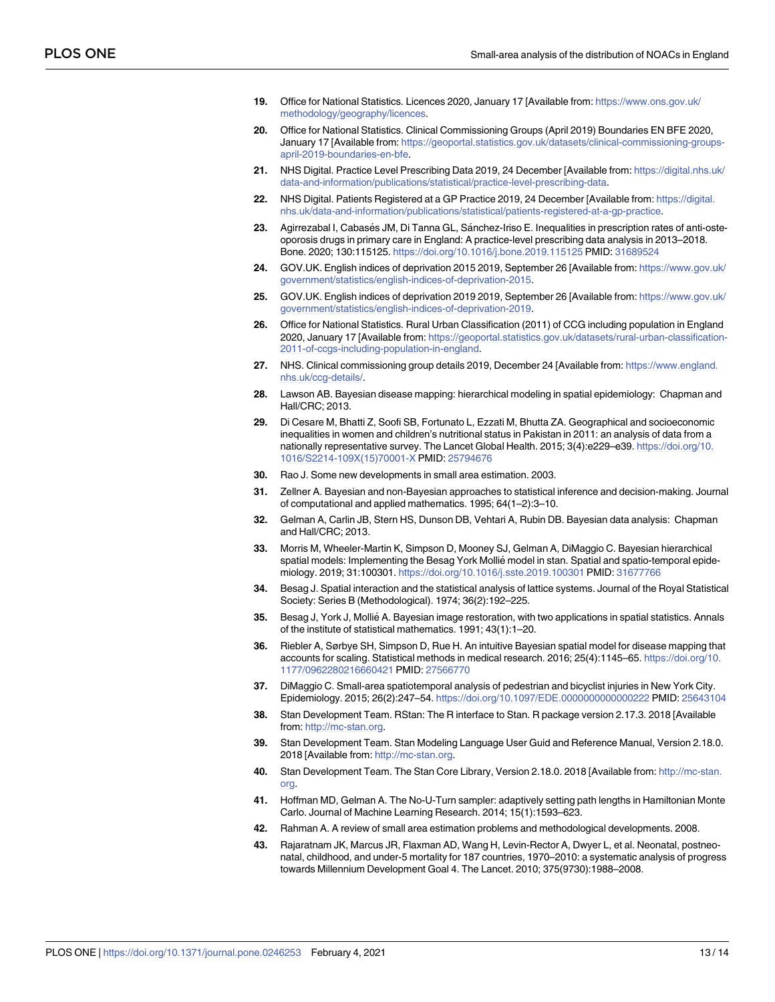- <span id="page-12-0"></span>**[19](#page-4-0).** Office for National Statistics. Licences 2020, January 17 [Available from: [https://www.ons.gov.uk/](https://www.ons.gov.uk/methodology/geography/licences) [methodology/geography/licences](https://www.ons.gov.uk/methodology/geography/licences).
- **[20](#page-4-0).** Office for National Statistics. Clinical Commissioning Groups (April 2019) Boundaries EN BFE 2020, January 17 [Available from: [https://geoportal.statistics.gov.uk/datasets/clinical-commissioning-groups](https://geoportal.statistics.gov.uk/datasets/clinical-commissioning-groups-april-2019-boundaries-en-bfe)[april-2019-boundaries-en-bfe.](https://geoportal.statistics.gov.uk/datasets/clinical-commissioning-groups-april-2019-boundaries-en-bfe)
- **[21](#page-4-0).** NHS Digital. Practice Level Prescribing Data 2019, 24 December [Available from: [https://digital.nhs.uk/](https://digital.nhs.uk/data-and-information/publications/statistical/practice-level-prescribing-data) [data-and-information/publications/statistical/practice-level-prescribing-data](https://digital.nhs.uk/data-and-information/publications/statistical/practice-level-prescribing-data).
- **[22](#page-4-0).** NHS Digital. Patients Registered at a GP Practice 2019, 24 December [Available from: [https://digital.](https://digital.nhs.uk/data-and-information/publications/statistical/patients-registered-at-a-gp-practice) [nhs.uk/data-and-information/publications/statistical/patients-registered-at-a-gp-practice](https://digital.nhs.uk/data-and-information/publications/statistical/patients-registered-at-a-gp-practice).
- **[23](#page-4-0).** Agirrezabal I, Cabasés JM, Di Tanna GL, Sánchez-Iriso E. Inequalities in prescription rates of anti-osteoporosis drugs in primary care in England: A practice-level prescribing data analysis in 2013–2018. Bone. 2020; 130:115125. <https://doi.org/10.1016/j.bone.2019.115125> PMID: [31689524](http://www.ncbi.nlm.nih.gov/pubmed/31689524)
- **[24](#page-5-0).** GOV.UK. English indices of deprivation 2015 2019, September 26 [Available from: [https://www.gov.uk/](https://www.gov.uk/government/statistics/english-indices-of-deprivation-2015) [government/statistics/english-indices-of-deprivation-2015.](https://www.gov.uk/government/statistics/english-indices-of-deprivation-2015)
- **[25](#page-5-0).** GOV.UK. English indices of deprivation 2019 2019, September 26 [Available from: [https://www.gov.uk/](https://www.gov.uk/government/statistics/english-indices-of-deprivation-2019) [government/statistics/english-indices-of-deprivation-2019.](https://www.gov.uk/government/statistics/english-indices-of-deprivation-2019)
- **[26](#page-5-0).** Office for National Statistics. Rural Urban Classification (2011) of CCG including population in England 2020, January 17 [Available from: [https://geoportal.statistics.gov.uk/datasets/rural-urban-classification-](https://geoportal.statistics.gov.uk/datasets/rural-urban-classification-2011-of-ccgs-including-population-in-england)[2011-of-ccgs-including-population-in-england](https://geoportal.statistics.gov.uk/datasets/rural-urban-classification-2011-of-ccgs-including-population-in-england).
- **[27](#page-5-0).** NHS. Clinical commissioning group details 2019, December 24 [Available from: [https://www.england.](https://www.england.nhs.uk/ccg-details/) [nhs.uk/ccg-details/.](https://www.england.nhs.uk/ccg-details/)
- **[28](#page-6-0).** Lawson AB. Bayesian disease mapping: hierarchical modeling in spatial epidemiology: Chapman and Hall/CRC; 2013.
- **[29](#page-6-0).** Di Cesare M, Bhatti Z, Soofi SB, Fortunato L, Ezzati M, Bhutta ZA. Geographical and socioeconomic inequalities in women and children's nutritional status in Pakistan in 2011: an analysis of data from a nationally representative survey. The Lancet Global Health. 2015; 3(4):e229–e39. [https://doi.org/10.](https://doi.org/10.1016/S2214-109X%2815%2970001-X) [1016/S2214-109X\(15\)70001-X](https://doi.org/10.1016/S2214-109X%2815%2970001-X) PMID: [25794676](http://www.ncbi.nlm.nih.gov/pubmed/25794676)
- **[30](#page-6-0).** Rao J. Some new developments in small area estimation. 2003.
- **[31](#page-6-0).** Zellner A. Bayesian and non-Bayesian approaches to statistical inference and decision-making. Journal of computational and applied mathematics. 1995; 64(1–2):3–10.
- **[32](#page-6-0).** Gelman A, Carlin JB, Stern HS, Dunson DB, Vehtari A, Rubin DB. Bayesian data analysis: Chapman and Hall/CRC; 2013.
- **[33](#page-6-0).** Morris M, Wheeler-Martin K, Simpson D, Mooney SJ, Gelman A, DiMaggio C. Bayesian hierarchical spatial models: Implementing the Besag York Mollié model in stan. Spatial and spatio-temporal epidemiology. 2019; 31:100301. <https://doi.org/10.1016/j.sste.2019.100301> PMID: [31677766](http://www.ncbi.nlm.nih.gov/pubmed/31677766)
- **[34](#page-6-0).** Besag J. Spatial interaction and the statistical analysis of lattice systems. Journal of the Royal Statistical Society: Series B (Methodological). 1974; 36(2):192–225.
- **[35](#page-6-0).** Besag J, York J, Mollié A. Bayesian image restoration, with two applications in spatial statistics. Annals of the institute of statistical mathematics. 1991; 43(1):1–20.
- **[36](#page-6-0).** Riebler A, Sørbye SH, Simpson D, Rue H. An intuitive Bayesian spatial model for disease mapping that accounts for scaling. Statistical methods in medical research. 2016; 25(4):1145–65. [https://doi.org/10.](https://doi.org/10.1177/0962280216660421) [1177/0962280216660421](https://doi.org/10.1177/0962280216660421) PMID: [27566770](http://www.ncbi.nlm.nih.gov/pubmed/27566770)
- **[37](#page-6-0).** DiMaggio C. Small-area spatiotemporal analysis of pedestrian and bicyclist injuries in New York City. Epidemiology. 2015; 26(2):247–54. <https://doi.org/10.1097/EDE.0000000000000222> PMID: [25643104](http://www.ncbi.nlm.nih.gov/pubmed/25643104)
- **[38](#page-7-0).** Stan Development Team. RStan: The R interface to Stan. R package version 2.17.3. 2018 [Available from: [http://mc-stan.org.](http://mc-stan.org)
- **39.** Stan Development Team. Stan Modeling Language User Guid and Reference Manual, Version 2.18.0. 2018 [Available from: [http://mc-stan.org.](http://mc-stan.org)
- **[40](#page-7-0).** Stan Development Team. The Stan Core Library, Version 2.18.0. 2018 [Available from: [http://mc-stan.](http://mc-stan.org) [org.](http://mc-stan.org)
- **[41](#page-7-0).** Hoffman MD, Gelman A. The No-U-Turn sampler: adaptively setting path lengths in Hamiltonian Monte Carlo. Journal of Machine Learning Research. 2014; 15(1):1593–623.
- **[42](#page-8-0).** Rahman A. A review of small area estimation problems and methodological developments. 2008.
- **[43](#page-8-0).** Rajaratnam JK, Marcus JR, Flaxman AD, Wang H, Levin-Rector A, Dwyer L, et al. Neonatal, postneonatal, childhood, and under-5 mortality for 187 countries, 1970–2010: a systematic analysis of progress towards Millennium Development Goal 4. The Lancet. 2010; 375(9730):1988–2008.